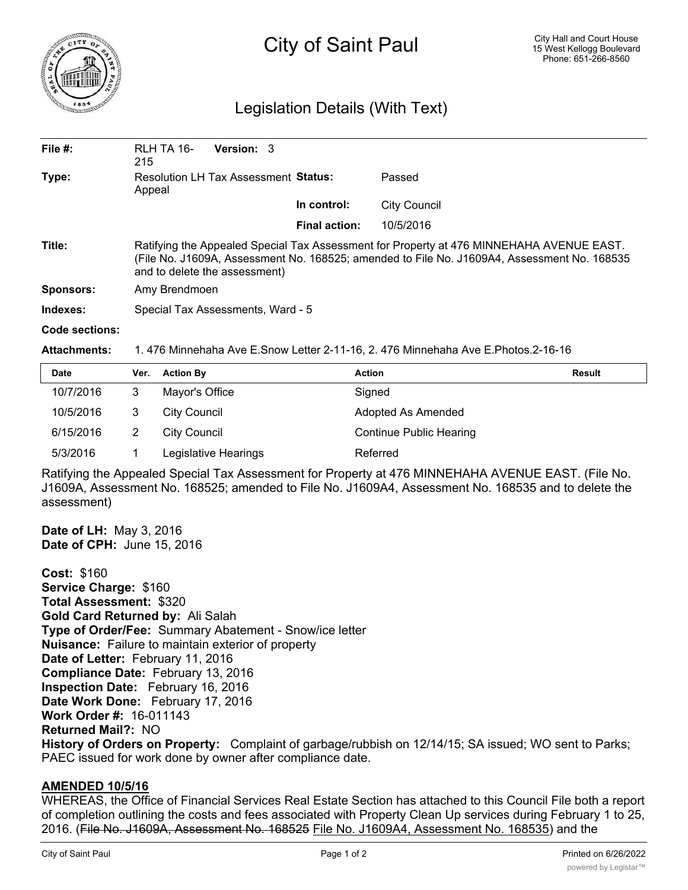

## City of Saint Paul

## Legislation Details (With Text)

| File $#$ :       | RLH TA 16-<br>215                                                                                                                                                                                                        | <b>Version: 3</b> |  |                      |                     |  |  |
|------------------|--------------------------------------------------------------------------------------------------------------------------------------------------------------------------------------------------------------------------|-------------------|--|----------------------|---------------------|--|--|
| Type:            | <b>Resolution LH Tax Assessment Status:</b><br>Appeal                                                                                                                                                                    |                   |  | Passed               |                     |  |  |
|                  |                                                                                                                                                                                                                          |                   |  | In control:          | <b>City Council</b> |  |  |
|                  |                                                                                                                                                                                                                          |                   |  | <b>Final action:</b> | 10/5/2016           |  |  |
| Title:           | Ratifying the Appealed Special Tax Assessment for Property at 476 MINNEHAHA AVENUE EAST.<br>(File No. J1609A, Assessment No. 168525; amended to File No. J1609A4, Assessment No. 168535<br>and to delete the assessment) |                   |  |                      |                     |  |  |
| <b>Sponsors:</b> | Amy Brendmoen                                                                                                                                                                                                            |                   |  |                      |                     |  |  |
| Indexes:         | Special Tax Assessments, Ward - 5                                                                                                                                                                                        |                   |  |                      |                     |  |  |
| Code sections:   |                                                                                                                                                                                                                          |                   |  |                      |                     |  |  |

**Attachments:** 1. 476 Minnehaha Ave E.Snow Letter 2-11-16, 2. 476 Minnehaha Ave E.Photos.2-16-16

| <b>Date</b> | Ver. | <b>Action By</b>     | <b>Action</b>                  | <b>Result</b> |
|-------------|------|----------------------|--------------------------------|---------------|
| 10/7/2016   |      | Mayor's Office       | Signed                         |               |
| 10/5/2016   |      | City Council         | Adopted As Amended             |               |
| 6/15/2016   |      | City Council         | <b>Continue Public Hearing</b> |               |
| 5/3/2016    |      | Legislative Hearings | Referred                       |               |

Ratifying the Appealed Special Tax Assessment for Property at 476 MINNEHAHA AVENUE EAST. (File No. J1609A, Assessment No. 168525; amended to File No. J1609A4, Assessment No. 168535 and to delete the assessment)

**Date of LH:** May 3, 2016 **Date of CPH:** June 15, 2016

**Cost:** \$160 **Service Charge:** \$160 **Total Assessment:** \$320 **Gold Card Returned by:** Ali Salah **Type of Order/Fee:** Summary Abatement - Snow/ice letter **Nuisance:** Failure to maintain exterior of property **Date of Letter:** February 11, 2016 **Compliance Date:** February 13, 2016 **Inspection Date:** February 16, 2016 **Date Work Done:** February 17, 2016 **Work Order #:** 16-011143 **Returned Mail?:** NO **History of Orders on Property:** Complaint of garbage/rubbish on 12/14/15; SA issued; WO sent to Parks; PAEC issued for work done by owner after compliance date.

## **AMENDED 10/5/16**

WHEREAS, the Office of Financial Services Real Estate Section has attached to this Council File both a report of completion outlining the costs and fees associated with Property Clean Up services during February 1 to 25, 2016. (File No. J1609A, Assessment No. 168525 File No. J1609A4, Assessment No. 168535) and the